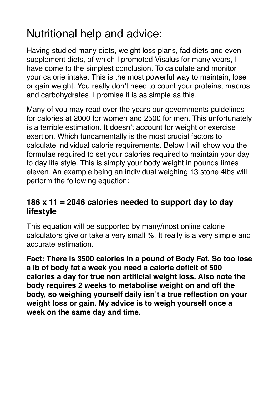# Nutritional help and advice:

Having studied many diets, weight loss plans, fad diets and even supplement diets, of which I promoted Visalus for many years, I have come to the simplest conclusion. To calculate and monitor your calorie intake. This is the most powerful way to maintain, lose or gain weight. You really don't need to count your proteins, macros and carbohydrates. I promise it is as simple as this.

Many of you may read over the years our governments guidelines for calories at 2000 for women and 2500 for men. This unfortunately is a terrible estimation. It doesn't account for weight or exercise exertion. Which fundamentally is the most crucial factors to calculate individual calorie requirements. Below I will show you the formulae required to set your calories required to maintain your day to day life style. This is simply your body weight in pounds times eleven. An example being an individual weighing 13 stone 4lbs will perform the following equation:

## **186 x 11 = 2046 calories needed to support day to day lifestyle**

This equation will be supported by many/most online calorie calculators give or take a very small %. It really is a very simple and accurate estimation.

**Fact: There is 3500 calories in a pound of Body Fat. So too lose a Ib of body fat a week you need a calorie deficit of 500 calories a day for true non artificial weight loss. Also note the body requires 2 weeks to metabolise weight on and off the body, so weighing yourself daily isn't a true reflection on your weight loss or gain. My advice is to weigh yourself once a week on the same day and time.**